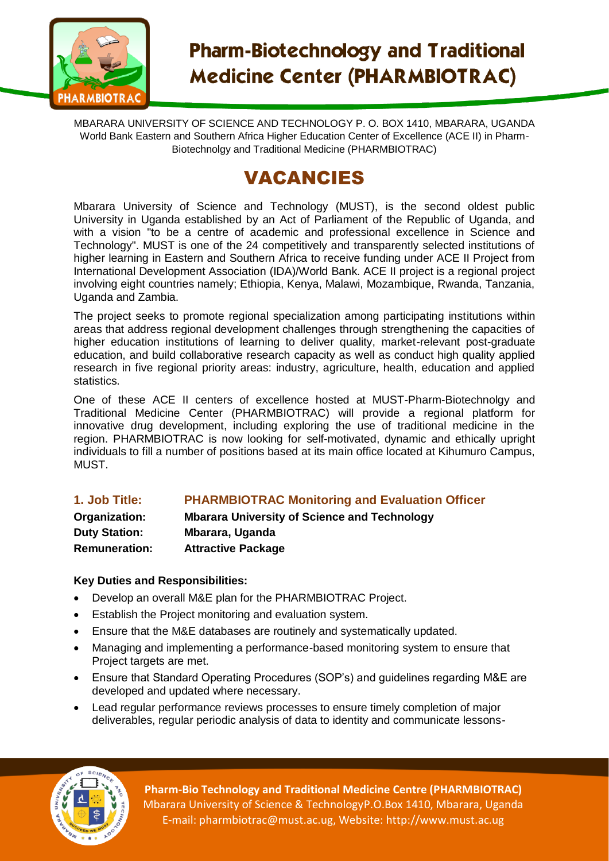

# **Pharm-Biotechnology and Traditional Medicine Center (PHARMBIOTRAC)**

MBARARA UNIVERSITY OF SCIENCE AND TECHNOLOGY P. O. BOX 1410, MBARARA, UGANDA World Bank Eastern and Southern Africa Higher Education Center of Excellence (ACE II) in Pharm-Biotechnolgy and Traditional Medicine (PHARMBIOTRAC)

# VACANCIES

Mbarara University of Science and Technology (MUST), is the second oldest public University in Uganda established by an Act of Parliament of the Republic of Uganda, and with a vision "to be a centre of academic and professional excellence in Science and Technology". MUST is one of the 24 competitively and transparently selected institutions of higher learning in Eastern and Southern Africa to receive funding under ACE II Project from International Development Association (IDA)/World Bank. ACE II project is a regional project involving eight countries namely; Ethiopia, Kenya, Malawi, Mozambique, Rwanda, Tanzania, Uganda and Zambia.

The project seeks to promote regional specialization among participating institutions within areas that address regional development challenges through strengthening the capacities of higher education institutions of learning to deliver quality, market-relevant post-graduate education, and build collaborative research capacity as well as conduct high quality applied research in five regional priority areas: industry, agriculture, health, education and applied statistics.

One of these ACE II centers of excellence hosted at MUST-Pharm-Biotechnolgy and Traditional Medicine Center (PHARMBIOTRAC) will provide a regional platform for innovative drug development, including exploring the use of traditional medicine in the region. PHARMBIOTRAC is now looking for self-motivated, dynamic and ethically upright individuals to fill a number of positions based at its main office located at Kihumuro Campus, MUST.

## **1. Job Title: PHARMBIOTRAC Monitoring and Evaluation Officer**

**Organization: Mbarara University of Science and Technology Duty Station: Mbarara, Uganda Remuneration: Attractive Package**

#### **Key Duties and Responsibilities:**

- Develop an overall M&E plan for the PHARMBIOTRAC Project.
- Establish the Project monitoring and evaluation system.
- Ensure that the M&E databases are routinely and systematically updated.
- Managing and implementing a performance-based monitoring system to ensure that Project targets are met.
- Ensure that Standard Operating Procedures (SOP's) and guidelines regarding M&E are developed and updated where necessary.
- Lead regular performance reviews processes to ensure timely completion of major deliverables, regular periodic analysis of data to identity and communicate lessons-



**Pharm-Bio Technology and Traditional Medicine Centre (PHARMBIOTRAC)** Mbarara University of Science & TechnologyP.O.Box 1410, Mbarara, Uganda E-mail: pharmbiotrac@must.ac.ug, Website: http://www.must.ac.ug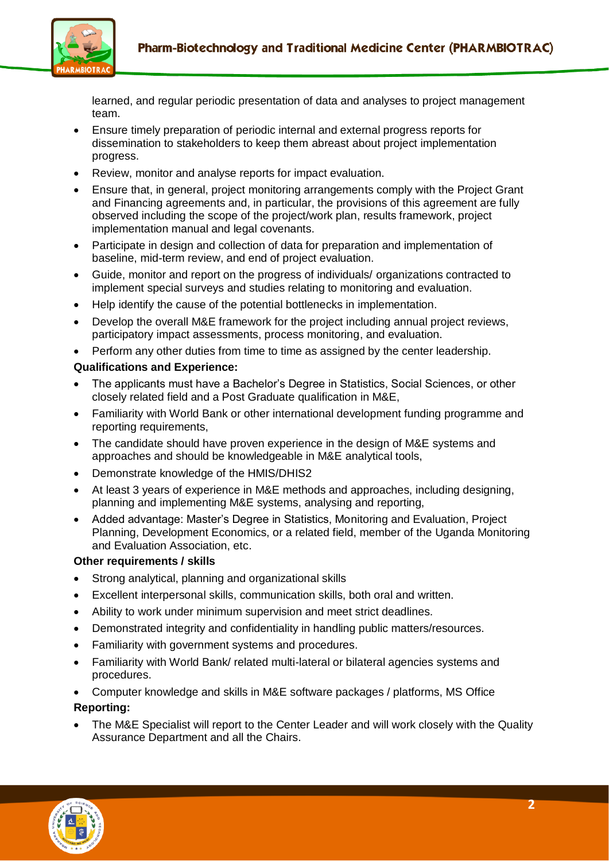

learned, and regular periodic presentation of data and analyses to project management team.

- Ensure timely preparation of periodic internal and external progress reports for dissemination to stakeholders to keep them abreast about project implementation progress.
- Review, monitor and analyse reports for impact evaluation.
- Ensure that, in general, project monitoring arrangements comply with the Project Grant and Financing agreements and, in particular, the provisions of this agreement are fully observed including the scope of the project/work plan, results framework, project implementation manual and legal covenants.
- Participate in design and collection of data for preparation and implementation of baseline, mid-term review, and end of project evaluation.
- Guide, monitor and report on the progress of individuals/ organizations contracted to implement special surveys and studies relating to monitoring and evaluation.
- Help identify the cause of the potential bottlenecks in implementation.
- Develop the overall M&E framework for the project including annual project reviews, participatory impact assessments, process monitoring, and evaluation.
- Perform any other duties from time to time as assigned by the center leadership.

#### **Qualifications and Experience:**

- The applicants must have a Bachelor's Degree in Statistics, Social Sciences, or other closely related field and a Post Graduate qualification in M&E,
- Familiarity with World Bank or other international development funding programme and reporting requirements,
- The candidate should have proven experience in the design of M&E systems and approaches and should be knowledgeable in M&E analytical tools,
- Demonstrate knowledge of the HMIS/DHIS2
- At least 3 years of experience in M&E methods and approaches, including designing, planning and implementing M&E systems, analysing and reporting,
- Added advantage: Master's Degree in Statistics, Monitoring and Evaluation, Project Planning, Development Economics, or a related field, member of the Uganda Monitoring and Evaluation Association, etc.

#### **Other requirements / skills**

- Strong analytical, planning and organizational skills
- Excellent interpersonal skills, communication skills, both oral and written.
- Ability to work under minimum supervision and meet strict deadlines.
- Demonstrated integrity and confidentiality in handling public matters/resources.
- Familiarity with government systems and procedures.
- Familiarity with World Bank/ related multi-lateral or bilateral agencies systems and procedures.
- Computer knowledge and skills in M&E software packages / platforms, MS Office

#### **Reporting:**

 The M&E Specialist will report to the Center Leader and will work closely with the Quality Assurance Department and all the Chairs.

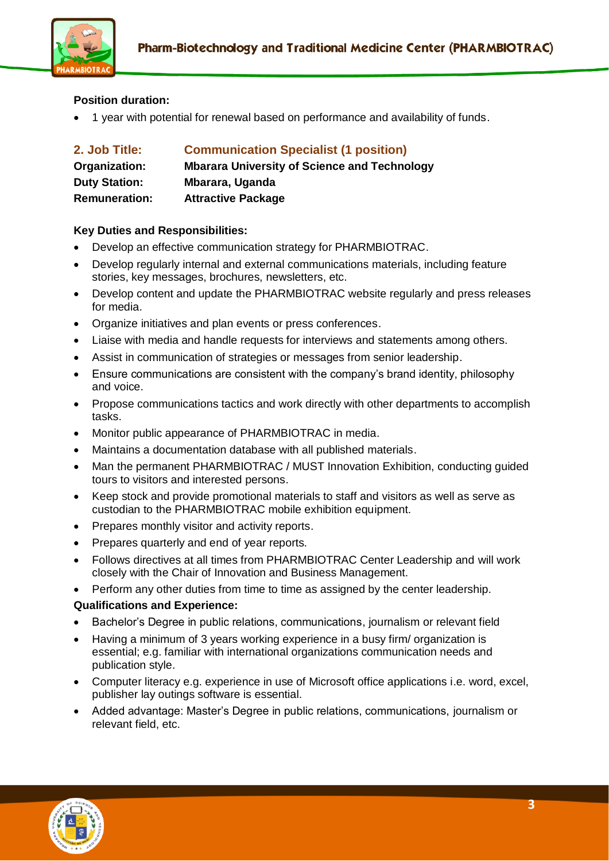

#### **Position duration:**

1 year with potential for renewal based on performance and availability of funds.

| 2. Job Title:        | <b>Communication Specialist (1 position)</b>        |
|----------------------|-----------------------------------------------------|
| Organization:        | <b>Mbarara University of Science and Technology</b> |
| <b>Duty Station:</b> | Mbarara, Uganda                                     |
| <b>Remuneration:</b> | <b>Attractive Package</b>                           |

#### **Key Duties and Responsibilities:**

- Develop an effective communication strategy for PHARMBIOTRAC.
- Develop regularly internal and external communications materials, including feature stories, key messages, brochures, newsletters, etc.
- Develop content and update the PHARMBIOTRAC website regularly and press releases for media.
- Organize initiatives and plan events or press conferences.
- Liaise with media and handle requests for interviews and statements among others.
- Assist in communication of strategies or messages from senior leadership.
- Ensure communications are consistent with the company's brand identity, philosophy and voice.
- Propose communications tactics and work directly with other departments to accomplish tasks.
- Monitor public appearance of PHARMBIOTRAC in media.
- Maintains a documentation database with all published materials.
- Man the permanent PHARMBIOTRAC / MUST Innovation Exhibition, conducting guided tours to visitors and interested persons.
- Keep stock and provide promotional materials to staff and visitors as well as serve as custodian to the PHARMBIOTRAC mobile exhibition equipment.
- Prepares monthly visitor and activity reports.
- Prepares quarterly and end of year reports.
- Follows directives at all times from PHARMBIOTRAC Center Leadership and will work closely with the Chair of Innovation and Business Management.

Perform any other duties from time to time as assigned by the center leadership.

#### **Qualifications and Experience:**

- Bachelor's Degree in public relations, communications, journalism or relevant field
- Having a minimum of 3 years working experience in a busy firm/ organization is essential; e.g. familiar with international organizations communication needs and publication style.
- Computer literacy e.g. experience in use of Microsoft office applications i.e. word, excel, publisher lay outings software is essential.
- Added advantage: Master's Degree in public relations, communications, journalism or relevant field, etc.

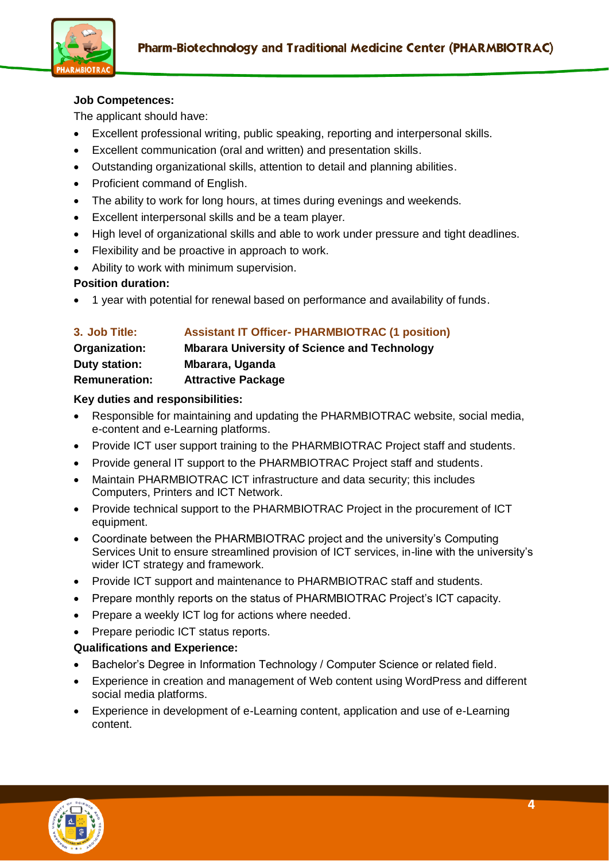

#### **Job Competences:**

The applicant should have:

- Excellent professional writing, public speaking, reporting and interpersonal skills.
- Excellent communication (oral and written) and presentation skills.
- Outstanding organizational skills, attention to detail and planning abilities.
- Proficient command of English.
- The ability to work for long hours, at times during evenings and weekends.
- Excellent interpersonal skills and be a team player.
- High level of organizational skills and able to work under pressure and tight deadlines.
- Flexibility and be proactive in approach to work.
- Ability to work with minimum supervision.

#### **Position duration:**

1 year with potential for renewal based on performance and availability of funds.

| 3. Job Title:<br>Organization:<br>Duty station: | <b>Assistant IT Officer- PHARMBIOTRAC (1 position)</b><br><b>Mbarara University of Science and Technology</b><br>Mbarara, Uganda |                      |                           |
|-------------------------------------------------|----------------------------------------------------------------------------------------------------------------------------------|----------------------|---------------------------|
|                                                 |                                                                                                                                  | <b>Remuneration:</b> | <b>Attractive Package</b> |

#### **Key duties and responsibilities:**

- Responsible for maintaining and updating the PHARMBIOTRAC website, social media, e-content and e-Learning platforms.
- Provide ICT user support training to the PHARMBIOTRAC Project staff and students.
- Provide general IT support to the PHARMBIOTRAC Project staff and students.
- Maintain PHARMBIOTRAC ICT infrastructure and data security; this includes Computers, Printers and ICT Network.
- Provide technical support to the PHARMBIOTRAC Project in the procurement of ICT equipment.
- Coordinate between the PHARMBIOTRAC project and the university's Computing Services Unit to ensure streamlined provision of ICT services, in-line with the university's wider ICT strategy and framework.
- Provide ICT support and maintenance to PHARMBIOTRAC staff and students.
- Prepare monthly reports on the status of PHARMBIOTRAC Project's ICT capacity.
- Prepare a weekly ICT log for actions where needed.
- Prepare periodic ICT status reports.

#### **Qualifications and Experience:**

- Bachelor's Degree in Information Technology / Computer Science or related field.
- Experience in creation and management of Web content using WordPress and different social media platforms.
- Experience in development of e-Learning content, application and use of e-Learning content.